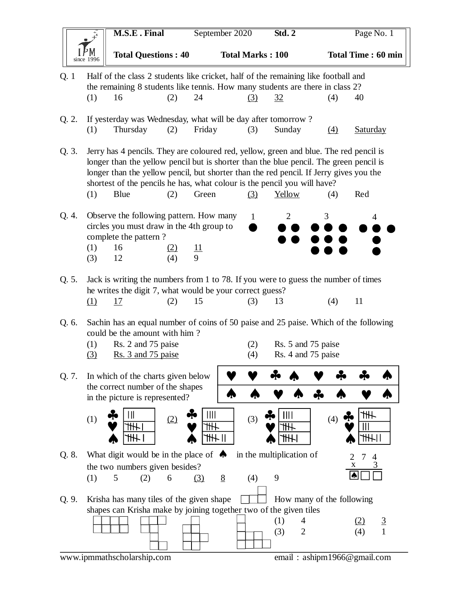|                                                           | <b>M.S.E. Final</b>                                                                                                                        |                                                                                                                                                                                                                                                                                                                                                       | September 2020 |                | Std.2           |                         | Page No. 1               |                                          |                           |  |
|-----------------------------------------------------------|--------------------------------------------------------------------------------------------------------------------------------------------|-------------------------------------------------------------------------------------------------------------------------------------------------------------------------------------------------------------------------------------------------------------------------------------------------------------------------------------------------------|----------------|----------------|-----------------|-------------------------|--------------------------|------------------------------------------|---------------------------|--|
|                                                           | since 1996                                                                                                                                 | <b>Total Questions: 40</b>                                                                                                                                                                                                                                                                                                                            |                |                |                 | <b>Total Marks: 100</b> |                          |                                          | <b>Total Time: 60 min</b> |  |
| Q. 1                                                      | Half of the class 2 students like cricket, half of the remaining like football and                                                         |                                                                                                                                                                                                                                                                                                                                                       |                |                |                 |                         |                          |                                          |                           |  |
|                                                           |                                                                                                                                            | the remaining 8 students like tennis. How many students are there in class 2?                                                                                                                                                                                                                                                                         |                |                |                 |                         |                          |                                          |                           |  |
|                                                           | (1)                                                                                                                                        | 16                                                                                                                                                                                                                                                                                                                                                    | (2)            | 24             |                 | (3)                     | <u>32</u>                | (4)                                      | 40                        |  |
| Q. 2.                                                     |                                                                                                                                            | If yesterday was Wednesday, what will be day after tomorrow?                                                                                                                                                                                                                                                                                          |                |                |                 |                         |                          |                                          |                           |  |
|                                                           | (1)                                                                                                                                        | Thursday                                                                                                                                                                                                                                                                                                                                              | (2)            | Friday         |                 | (3)                     | Sunday                   | $\Delta$                                 | <b>Saturday</b>           |  |
|                                                           |                                                                                                                                            |                                                                                                                                                                                                                                                                                                                                                       |                |                |                 |                         |                          |                                          |                           |  |
| Q. 3.                                                     |                                                                                                                                            | Jerry has 4 pencils. They are coloured red, yellow, green and blue. The red pencil is<br>longer than the yellow pencil but is shorter than the blue pencil. The green pencil is<br>longer than the yellow pencil, but shorter than the red pencil. If Jerry gives you the<br>shortest of the pencils he has, what colour is the pencil you will have? |                |                |                 |                         |                          |                                          |                           |  |
|                                                           | (1)                                                                                                                                        | Blue                                                                                                                                                                                                                                                                                                                                                  | (2)            | Green          |                 | (3)                     | Yellow                   | (4)                                      | Red                       |  |
| Q. 4.                                                     | (1)<br>(3)                                                                                                                                 | Observe the following pattern. How many<br>circles you must draw in the 4th group to<br>complete the pattern?<br>16<br>12                                                                                                                                                                                                                             | (2)<br>(4)     | $\frac{11}{9}$ |                 | $\mathbf{1}$            | $\overline{2}$           | 3                                        | 4                         |  |
| Q. 5.                                                     |                                                                                                                                            | Jack is writing the numbers from 1 to 78. If you were to guess the number of times                                                                                                                                                                                                                                                                    |                |                |                 |                         |                          |                                          |                           |  |
|                                                           |                                                                                                                                            | he writes the digit 7, what would be your correct guess?                                                                                                                                                                                                                                                                                              |                |                |                 |                         |                          |                                          |                           |  |
|                                                           | (1)                                                                                                                                        | <u>17</u>                                                                                                                                                                                                                                                                                                                                             | (2)            | 15             |                 | (3)                     | 13                       | (4)                                      | 11                        |  |
| Q. 6.                                                     | (1)<br>(3)                                                                                                                                 | Sachin has an equal number of coins of 50 paise and 25 paise. Which of the following<br>could be the amount with him?<br>Rs. 2 and 75 paise<br>Rs. 3 and 75 paise                                                                                                                                                                                     |                |                |                 | (2)<br>(4)              |                          | Rs. 5 and 75 paise<br>Rs. 4 and 75 paise |                           |  |
| Q. 7.                                                     |                                                                                                                                            | In which of the charts given below                                                                                                                                                                                                                                                                                                                    |                |                |                 |                         |                          |                                          |                           |  |
|                                                           |                                                                                                                                            | the correct number of the shapes<br>in the picture is represented?                                                                                                                                                                                                                                                                                    |                |                |                 |                         |                          |                                          |                           |  |
|                                                           | (1)                                                                                                                                        |                                                                                                                                                                                                                                                                                                                                                       | (2)            | Ш<br>11 H      |                 | (3)                     |                          | (4)                                      | ≢                         |  |
| Q. 8.                                                     |                                                                                                                                            | What digit would be in the place of $\triangle$                                                                                                                                                                                                                                                                                                       |                |                |                 |                         | in the multiplication of |                                          |                           |  |
|                                                           |                                                                                                                                            | the two numbers given besides?                                                                                                                                                                                                                                                                                                                        |                |                |                 |                         |                          |                                          | X                         |  |
|                                                           | (1)                                                                                                                                        | 5<br>(2)                                                                                                                                                                                                                                                                                                                                              | 6              | (3)            | $8\overline{8}$ | (4)                     | 9                        |                                          |                           |  |
| Q. 9.                                                     | Krisha has many tiles of the given shape<br>How many of the following<br>shapes can Krisha make by joining together two of the given tiles |                                                                                                                                                                                                                                                                                                                                                       |                |                |                 |                         |                          |                                          |                           |  |
|                                                           |                                                                                                                                            |                                                                                                                                                                                                                                                                                                                                                       |                |                |                 |                         | (1)<br>4                 |                                          | $\overline{3}$            |  |
|                                                           |                                                                                                                                            |                                                                                                                                                                                                                                                                                                                                                       |                |                |                 |                         | (3)<br>$\overline{2}$    |                                          | $\mathbf{1}$<br>(4)       |  |
| www.ipmmathscholarship.com<br>email: ashipm1966@gmail.com |                                                                                                                                            |                                                                                                                                                                                                                                                                                                                                                       |                |                |                 |                         |                          |                                          |                           |  |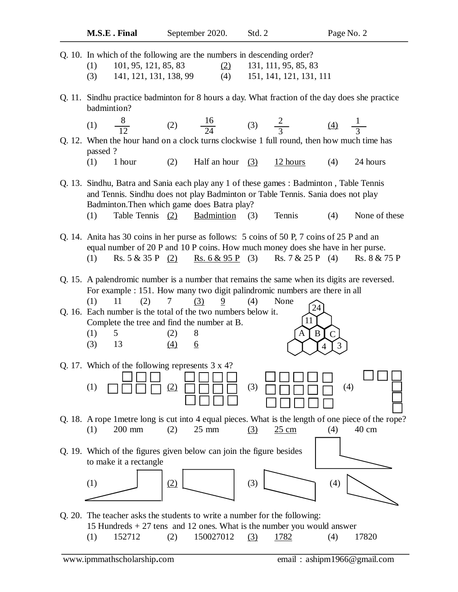| M.S.E. Final                                                                                                                                                                                                                                                                                          | September 2020.                                                                                                               | Std. 2                                          | Page No. 2                                                                                                                                                         |  |  |  |  |
|-------------------------------------------------------------------------------------------------------------------------------------------------------------------------------------------------------------------------------------------------------------------------------------------------------|-------------------------------------------------------------------------------------------------------------------------------|-------------------------------------------------|--------------------------------------------------------------------------------------------------------------------------------------------------------------------|--|--|--|--|
| Q. 10. In which of the following are the numbers in descending order?<br>101, 95, 121, 85, 83<br>(1)<br>(3)                                                                                                                                                                                           | (2)<br>(4)<br>141, 121, 131, 138, 99                                                                                          | 131, 111, 95, 85, 83<br>151, 141, 121, 131, 111 |                                                                                                                                                                    |  |  |  |  |
| badmintion?<br>(1) $\frac{8}{12}$                                                                                                                                                                                                                                                                     | (2) $\frac{16}{24}$ (3) $\frac{2}{3}$ (4) $\frac{1}{3}$                                                                       |                                                 | Q. 11. Sindhu practice badminton for 8 hours a day. What fraction of the day does she practice                                                                     |  |  |  |  |
| passed?<br>(1)<br>1 hour                                                                                                                                                                                                                                                                              | $(2)$ Half an hour $(3)$                                                                                                      | $12$ hours                                      | Q. 12. When the hour hand on a clock turns clockwise 1 full round, then how much time has<br>(4)<br>24 hours                                                       |  |  |  |  |
| Q. 13. Sindhu, Batra and Sania each play any 1 of these games : Badminton, Table Tennis<br>and Tennis. Sindhu does not play Badminton or Table Tennis. Sania does not play<br>Badminton. Then which game does Batra play?<br>Table Tennis (2) Badmintion (3)<br>Tennis<br>(4)<br>None of these<br>(1) |                                                                                                                               |                                                 |                                                                                                                                                                    |  |  |  |  |
| Q. 14. Anita has 30 coins in her purse as follows: 5 coins of 50 P, 7 coins of 25 P and an<br>(1)                                                                                                                                                                                                     |                                                                                                                               |                                                 | equal number of 20 P and 10 P coins. How much money does she have in her purse.<br>Rs. $5 & 35 & 9$ (2) Rs. $6 & 95 & 9$ (3) Rs. $7 & 25 & 9$ (4) Rs. $8 & 75 & 9$ |  |  |  |  |
| (1)<br>11<br>(2)                                                                                                                                                                                                                                                                                      | For example : 151. How many two digit palindromic numbers are there in all<br>$9 \left( \frac{1}{2} \right)$<br>$\tau$<br>(3) | (4)<br>None                                     | Q. 15. A palendromic number is a number that remains the same when its digits are reversed.<br>24                                                                  |  |  |  |  |
| Q. 16. Each number is the total of the two numbers below it.<br>(1)<br>5 <sup>5</sup><br>(3)<br>13                                                                                                                                                                                                    | Complete the tree and find the number at B.<br>8<br>(2)<br>(4)<br><u>6</u>                                                    | A                                               | 11<br>$\overline{C}$<br>B<br>3<br>$\overline{4}$                                                                                                                   |  |  |  |  |

Q. 17. Which of the following represents 3 x 4?

Q. 18. A rope 1metre long is cut into 4 equal pieces. What is the length of one piece of the rope? (1) 200 mm (2) 25 mm (3)  $\frac{25 \text{ cm}}{40 \text{ cm}}$  (4) 40 cm

(1) (2) (3) (4)

Q. 19. Which of the figures given below can join the figure besides to make it a rectangle



Q. 20. The teacher asks the students to write a number for the following: 15 Hundreds + 27 tens and 12 ones. What is the number you would answer (1)  $152712$  (2)  $150027012$  (3)  $1782$  (4) 17820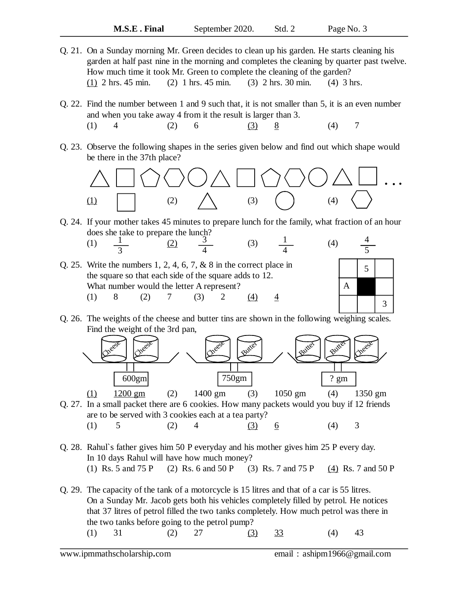- Q. 21. On a Sunday morning Mr. Green decides to clean up his garden. He starts cleaning his garden at half past nine in the morning and completes the cleaning by quarter past twelve. How much time it took Mr. Green to complete the cleaning of the garden? (1) 2 hrs. 45 min. (2) 1 hrs. 45 min. (3) 2 hrs. 30 min. (4) 3 hrs.
- Q. 22. Find the number between 1 and 9 such that, it is not smaller than 5, it is an even number and when you take away 4 from it the result is larger than 3. (1) 4 (2) 6 (3) 8 (4) 7
- Q. 23. Observe the following shapes in the series given below and find out which shape would be there in the 37th place?



- Q. 24. If your mother takes 45 minutes to prepare lunch for the family, what fraction of an hour does she take to prepare the lunch? (1)  $\frac{1}{2}$  (2)  $\frac{3}{2}$  (3)  $\frac{1}{2}$  (4) 1 3 1 4
- Q. 25. Write the numbers 1, 2, 4, 6, 7, & 8 in the correct place in the square so that each side of the square adds to 12. What number would the letter A represent? (1) 8 (2) 7 (3) 2 <u>(4) 4</u> 3 4 4



Q. 26. The weights of the cheese and butter tins are shown in the following weighing scales. Find the weight of the 3rd pan,



Q. 27. In a small packet there are 6 cookies. How many packets would you buy if 12 friends are to be served with 3 cookies each at a tea party? (1) 5 (2) 4 (3)  $\frac{6}{ }$  (4) 3

Q. 28. Rahul`s father gives him 50 P everyday and his mother gives him 25 P every day. In 10 days Rahul will have how much money? (1) Rs. 5 and 75 P (2) Rs. 6 and 50 P (3) Rs. 7 and 75 P (4) Rs. 7 and 50 P

Q. 29. The capacity of the tank of a motorcycle is 15 litres and that of a car is 55 litres. On a Sunday Mr. Jacob gets both his vehicles completely filled by petrol. He notices that 37 litres of petrol filled the two tanks completely. How much petrol was there in the two tanks before going to the petrol pump? (1) 31 (2) 27 (3) 33 (4) 43